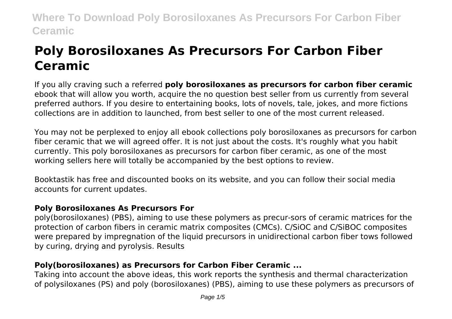# **Poly Borosiloxanes As Precursors For Carbon Fiber Ceramic**

If you ally craving such a referred **poly borosiloxanes as precursors for carbon fiber ceramic** ebook that will allow you worth, acquire the no question best seller from us currently from several preferred authors. If you desire to entertaining books, lots of novels, tale, jokes, and more fictions collections are in addition to launched, from best seller to one of the most current released.

You may not be perplexed to enjoy all ebook collections poly borosiloxanes as precursors for carbon fiber ceramic that we will agreed offer. It is not just about the costs. It's roughly what you habit currently. This poly borosiloxanes as precursors for carbon fiber ceramic, as one of the most working sellers here will totally be accompanied by the best options to review.

Booktastik has free and discounted books on its website, and you can follow their social media accounts for current updates.

# **Poly Borosiloxanes As Precursors For**

poly(borosiloxanes) (PBS), aiming to use these polymers as precur-sors of ceramic matrices for the protection of carbon fibers in ceramic matrix composites (CMCs). C/SiOC and C/SiBOC composites were prepared by impregnation of the liquid precursors in unidirectional carbon fiber tows followed by curing, drying and pyrolysis. Results

# **Poly(borosiloxanes) as Precursors for Carbon Fiber Ceramic ...**

Taking into account the above ideas, this work reports the synthesis and thermal characterization of polysiloxanes (PS) and poly (borosiloxanes) (PBS), aiming to use these polymers as precursors of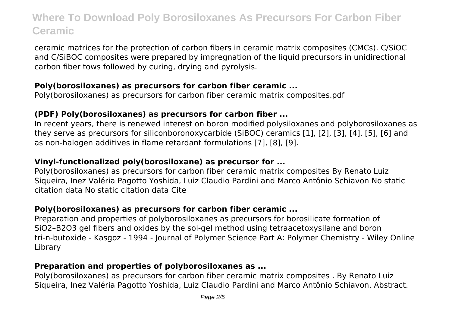ceramic matrices for the protection of carbon fibers in ceramic matrix composites (CMCs). C/SiOC and C/SiBOC composites were prepared by impregnation of the liquid precursors in unidirectional carbon fiber tows followed by curing, drying and pyrolysis.

### **Poly(borosiloxanes) as precursors for carbon fiber ceramic ...**

Poly(borosiloxanes) as precursors for carbon fiber ceramic matrix composites.pdf

# **(PDF) Poly(borosiloxanes) as precursors for carbon fiber ...**

In recent years, there is renewed interest on boron modified polysiloxanes and polyborosiloxanes as they serve as precursors for siliconboronoxycarbide (SiBOC) ceramics [1], [2], [3], [4], [5], [6] and as non-halogen additives in flame retardant formulations [7], [8], [9].

### **Vinyl-functionalized poly(borosiloxane) as precursor for ...**

Poly(borosiloxanes) as precursors for carbon fiber ceramic matrix composites By Renato Luiz Siqueira, Inez Valéria Pagotto Yoshida, Luiz Claudio Pardini and Marco Antônio Schiavon No static citation data No static citation data Cite

# **Poly(borosiloxanes) as precursors for carbon fiber ceramic ...**

Preparation and properties of polyborosiloxanes as precursors for borosilicate formation of SiO2–B2O3 gel fibers and oxides by the sol‐gel method using tetraacetoxysilane and boron tri‐n‐butoxide - Kasgoz - 1994 - Journal of Polymer Science Part A: Polymer Chemistry - Wiley Online Library

# **Preparation and properties of polyborosiloxanes as ...**

Poly(borosiloxanes) as precursors for carbon fiber ceramic matrix composites . By Renato Luiz Siqueira, Inez Valéria Pagotto Yoshida, Luiz Claudio Pardini and Marco Antônio Schiavon. Abstract.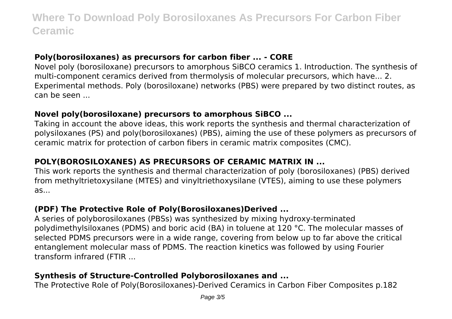### **Poly(borosiloxanes) as precursors for carbon fiber ... - CORE**

Novel poly (borosiloxane) precursors to amorphous SiBCO ceramics 1. Introduction. The synthesis of multi-component ceramics derived from thermolysis of molecular precursors, which have... 2. Experimental methods. Poly (borosiloxane) networks (PBS) were prepared by two distinct routes, as can be seen ...

#### **Novel poly(borosiloxane) precursors to amorphous SiBCO ...**

Taking in account the above ideas, this work reports the synthesis and thermal characterization of polysiloxanes (PS) and poly(borosiloxanes) (PBS), aiming the use of these polymers as precursors of ceramic matrix for protection of carbon fibers in ceramic matrix composites (CMC).

# **POLY(BOROSILOXANES) AS PRECURSORS OF CERAMIC MATRIX IN ...**

This work reports the synthesis and thermal characterization of poly (borosiloxanes) (PBS) derived from methyltrietoxysilane (MTES) and vinyltriethoxysilane (VTES), aiming to use these polymers as...

### **(PDF) The Protective Role of Poly(Borosiloxanes)Derived ...**

A series of polyborosiloxanes (PBSs) was synthesized by mixing hydroxy-terminated polydimethylsiloxanes (PDMS) and boric acid (BA) in toluene at 120 °C. The molecular masses of selected PDMS precursors were in a wide range, covering from below up to far above the critical entanglement molecular mass of PDMS. The reaction kinetics was followed by using Fourier transform infrared (FTIR ...

# **Synthesis of Structure-Controlled Polyborosiloxanes and ...**

The Protective Role of Poly(Borosiloxanes)-Derived Ceramics in Carbon Fiber Composites p.182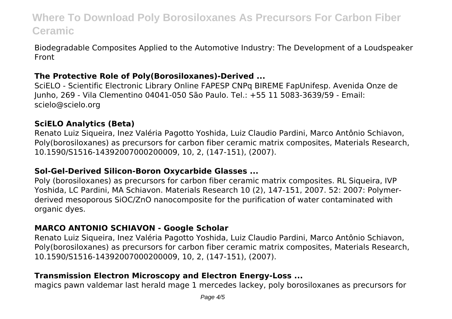Biodegradable Composites Applied to the Automotive Industry: The Development of a Loudspeaker Front

### **The Protective Role of Poly(Borosiloxanes)-Derived ...**

SciELO - Scientific Electronic Library Online FAPESP CNPq BIREME FapUnifesp. Avenida Onze de Junho, 269 - Vila Clementino 04041-050 São Paulo. Tel.: +55 11 5083-3639/59 - Email: scielo@scielo.org

### **SciELO Analytics (Beta)**

Renato Luiz Siqueira, Inez Valéria Pagotto Yoshida, Luiz Claudio Pardini, Marco Antônio Schiavon, Poly(borosiloxanes) as precursors for carbon fiber ceramic matrix composites, Materials Research, 10.1590/S1516-14392007000200009, 10, 2, (147-151), (2007).

#### **Sol‐Gel‐Derived Silicon‐Boron Oxycarbide Glasses ...**

Poly (borosiloxanes) as precursors for carbon fiber ceramic matrix composites. RL Siqueira, IVP Yoshida, LC Pardini, MA Schiavon. Materials Research 10 (2), 147-151, 2007. 52: 2007: Polymerderived mesoporous SiOC/ZnO nanocomposite for the purification of water contaminated with organic dyes.

#### **MARCO ANTONIO SCHIAVON - Google Scholar**

Renato Luiz Siqueira, Inez Valéria Pagotto Yoshida, Luiz Claudio Pardini, Marco Antônio Schiavon, Poly(borosiloxanes) as precursors for carbon fiber ceramic matrix composites, Materials Research, 10.1590/S1516-14392007000200009, 10, 2, (147-151), (2007).

### **Transmission Electron Microscopy and Electron Energy‐Loss ...**

magics pawn valdemar last herald mage 1 mercedes lackey, poly borosiloxanes as precursors for